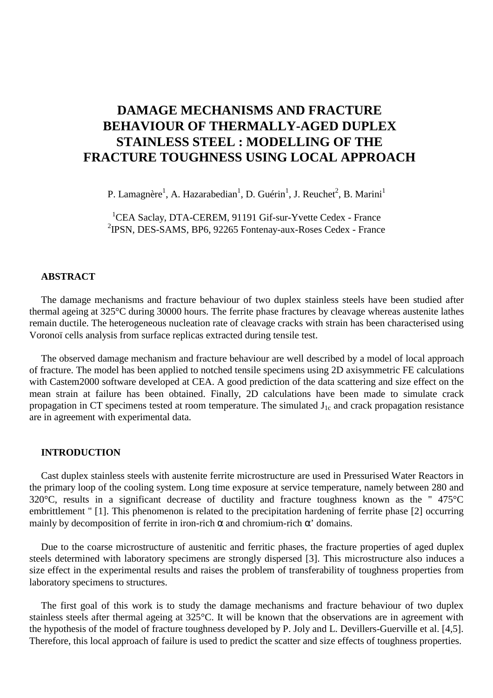# **DAMAGE MECHANISMS AND FRACTURE BEHAVIOUR OF THERMALLY-AGED DUPLEX STAINLESS STEEL : MODELLING OF THE FRACTURE TOUGHNESS USING LOCAL APPROACH**

P. Lamagnère<sup>1</sup>, A. Hazarabedian<sup>1</sup>, D. Guérin<sup>1</sup>, J. Reuchet<sup>2</sup>, B. Marini<sup>1</sup>

<sup>1</sup>CEA Saclay, DTA-CEREM, 91191 Gif-sur-Yvette Cedex - France 2 IPSN, DES-SAMS, BP6, 92265 Fontenay-aux-Roses Cedex - France

# **ABSTRACT**

The damage mechanisms and fracture behaviour of two duplex stainless steels have been studied after thermal ageing at 325°C during 30000 hours. The ferrite phase fractures by cleavage whereas austenite lathes remain ductile. The heterogeneous nucleation rate of cleavage cracks with strain has been characterised using Voronoï cells analysis from surface replicas extracted during tensile test.

The observed damage mechanism and fracture behaviour are well described by a model of local approach of fracture. The model has been applied to notched tensile specimens using 2D axisymmetric FE calculations with Castem2000 software developed at CEA. A good prediction of the data scattering and size effect on the mean strain at failure has been obtained. Finally, 2D calculations have been made to simulate crack propagation in CT specimens tested at room temperature. The simulated  $J_{1c}$  and crack propagation resistance are in agreement with experimental data.

### **INTRODUCTION**

Cast duplex stainless steels with austenite ferrite microstructure are used in Pressurised Water Reactors in the primary loop of the cooling system. Long time exposure at service temperature, namely between 280 and 320°C, results in a significant decrease of ductility and fracture toughness known as the " 475°C embrittlement " [1]. This phenomenon is related to the precipitation hardening of ferrite phase [2] occurring mainly by decomposition of ferrite in iron-rich  $\alpha$  and chromium-rich  $\alpha'$  domains.

Due to the coarse microstructure of austenitic and ferritic phases, the fracture properties of aged duplex steels determined with laboratory specimens are strongly dispersed [3]. This microstructure also induces a size effect in the experimental results and raises the problem of transferability of toughness properties from laboratory specimens to structures.

The first goal of this work is to study the damage mechanisms and fracture behaviour of two duplex stainless steels after thermal ageing at 325°C. It will be known that the observations are in agreement with the hypothesis of the model of fracture toughness developed by P. Joly and L. Devillers-Guerville et al. [4,5]. Therefore, this local approach of failure is used to predict the scatter and size effects of toughness properties.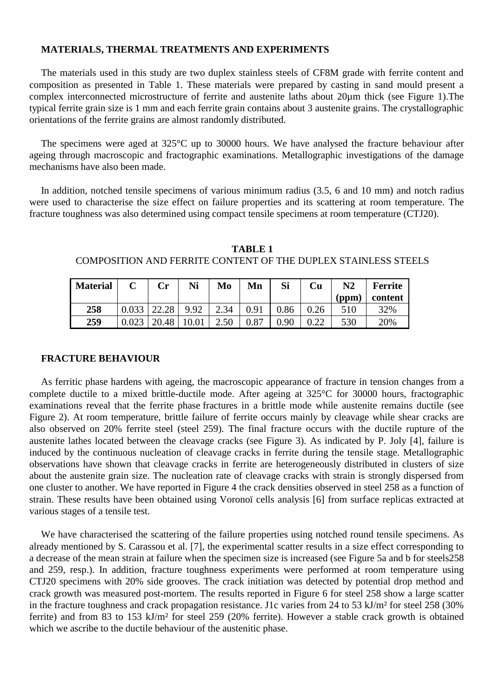# **MATERIALS, THERMAL TREATMENTS AND EXPERIMENTS**

The materials used in this study are two duplex stainless steels of CF8M grade with ferrite content and composition as presented in Table 1. These materials were prepared by casting in sand mould present a complex interconnected microstructure of ferrite and austenite laths about 20µm thick (see Figure 1).The typical ferrite grain size is 1 mm and each ferrite grain contains about 3 austenite grains. The crystallographic orientations of the ferrite grains are almost randomly distributed.

The specimens were aged at 325°C up to 30000 hours. We have analysed the fracture behaviour after ageing through macroscopic and fractographic examinations. Metallographic investigations of the damage mechanisms have also been made.

In addition, notched tensile specimens of various minimum radius (3.5, 6 and 10 mm) and notch radius were used to characterise the size effect on failure properties and its scattering at room temperature. The fracture toughness was also determined using compact tensile specimens at room temperature (CTJ20).

**TABLE 1** COMPOSITION AND FERRITE CONTENT OF THE DUPLEX STAINLESS STEELS

| <b>Material</b> | Cr    | Ni   | Mo   | Mn   | Si   | Cu       | $\bf N2$ | <b>Ferrite</b> |
|-----------------|-------|------|------|------|------|----------|----------|----------------|
|                 |       |      |      |      |      |          | (ppm)    | content        |
| 258             |       | 9.92 | 2.34 | 0.91 | 0.86 |          | 510      | 32%            |
| 259             | 20.48 |      | 2.50 | 0.87 | 0.90 | $\Omega$ | 530      | 20%            |

## **FRACTURE BEHAVIOUR**

As ferritic phase hardens with ageing, the macroscopic appearance of fracture in tension changes from a complete ductile to a mixed brittle-ductile mode. After ageing at 325°C for 30000 hours, fractographic examinations reveal that the ferrite phase fractures in a brittle mode while austenite remains ductile (see Figure 2). At room temperature, brittle failure of ferrite occurs mainly by cleavage while shear cracks are also observed on 20% ferrite steel (steel 259). The final fracture occurs with the ductile rupture of the austenite lathes located between the cleavage cracks (see Figure 3). As indicated by P. Joly [4], failure is induced by the continuous nucleation of cleavage cracks in ferrite during the tensile stage. Metallographic observations have shown that cleavage cracks in ferrite are heterogeneously distributed in clusters of size about the austenite grain size. The nucleation rate of cleavage cracks with strain is strongly dispersed from one cluster to another. We have reported in Figure 4 the crack densities observed in steel 258 as a function of strain. These results have been obtained using Voronoï cells analysis [6] from surface replicas extracted at various stages of a tensile test.

We have characterised the scattering of the failure properties using notched round tensile specimens. As already mentioned by S. Carassou et al. [7], the experimental scatter results in a size effect corresponding to a decrease of the mean strain at failure when the specimen size is increased (see Figure 5a and b for steels258 and 259, resp.). In addition, fracture toughness experiments were performed at room temperature using CTJ20 specimens with 20% side grooves. The crack initiation was detected by potential drop method and crack growth was measured post-mortem. The results reported in Figure 6 for steel 258 show a large scatter in the fracture toughness and crack propagation resistance. J1c varies from 24 to 53 kJ/m² for steel 258 (30% ferrite) and from 83 to 153 kJ/m² for steel 259 (20% ferrite). However a stable crack growth is obtained which we ascribe to the ductile behaviour of the austenitic phase.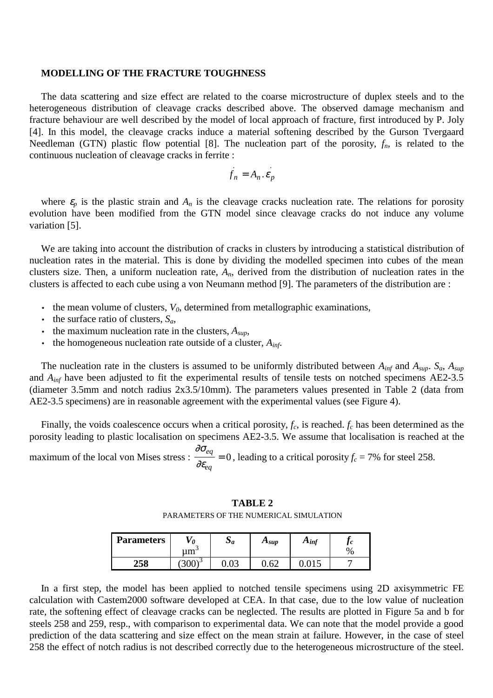#### **MODELLING OF THE FRACTURE TOUGHNESS**

The data scattering and size effect are related to the coarse microstructure of duplex steels and to the heterogeneous distribution of cleavage cracks described above. The observed damage mechanism and fracture behaviour are well described by the model of local approach of fracture, first introduced by P. Joly [4]. In this model, the cleavage cracks induce a material softening described by the Gurson Tvergaard Needleman (GTN) plastic flow potential [8]. The nucleation part of the porosity,  $f_n$ , is related to the continuous nucleation of cleavage cracks in ferrite :

$$
f_n = A_n \cdot \varepsilon_p
$$

where  $\varepsilon_p$  is the plastic strain and  $A_n$  is the cleavage cracks nucleation rate. The relations for porosity evolution have been modified from the GTN model since cleavage cracks do not induce any volume variation [5].

We are taking into account the distribution of cracks in clusters by introducing a statistical distribution of nucleation rates in the material. This is done by dividing the modelled specimen into cubes of the mean clusters size. Then, a uniform nucleation rate, *An*, derived from the distribution of nucleation rates in the clusters is affected to each cube using a von Neumann method [9]. The parameters of the distribution are :

- $\bullet$  the mean volume of clusters,  $V_0$ , determined from metallographic examinations,
- the surface ratio of clusters,  $S_a$ ,
- the maximum nucleation rate in the clusters,  $A_{\text{sub}}$ ,
- the homogeneous nucleation rate outside of a cluster,  $A_{inf}$ .

The nucleation rate in the clusters is assumed to be uniformly distributed between  $A_{inf}$  and  $A_{sup}$ .  $S_a$ ,  $A_{sup}$ and *Ainf* have been adjusted to fit the experimental results of tensile tests on notched specimens AE2-3.5 (diameter 3.5mm and notch radius 2x3.5/10mm). The parameters values presented in Table 2 (data from AE2-3.5 specimens) are in reasonable agreement with the experimental values (see Figure 4).

Finally, the voids coalescence occurs when a critical porosity,  $f_c$ , is reached.  $f_c$  has been determined as the porosity leading to plastic localisation on specimens AE2-3.5. We assume that localisation is reached at the ∂σ

maximum of the local von Mises stress : ∂ε *eq eq*  $= 0$ , leading to a critical porosity  $f_c = 7\%$  for steel 258.

**TABLE 2** PARAMETERS OF THE NUMERICAL SIMULATION

| <b>Parameters</b> | 0<br>um     | $\overline{u}$ | $A_{\text{sup}}$ | $A_{inf}$ | J<br>$\%$ |
|-------------------|-------------|----------------|------------------|-----------|-----------|
| E O<br>ംപ         | د∖∩∩<br>JUU | しょひこ           | $6^{\circ}$      |           |           |

In a first step, the model has been applied to notched tensile specimens using 2D axisymmetric FE calculation with Castem2000 software developed at CEA. In that case, due to the low value of nucleation rate, the softening effect of cleavage cracks can be neglected. The results are plotted in Figure 5a and b for steels 258 and 259, resp., with comparison to experimental data. We can note that the model provide a good prediction of the data scattering and size effect on the mean strain at failure. However, in the case of steel 258 the effect of notch radius is not described correctly due to the heterogeneous microstructure of the steel.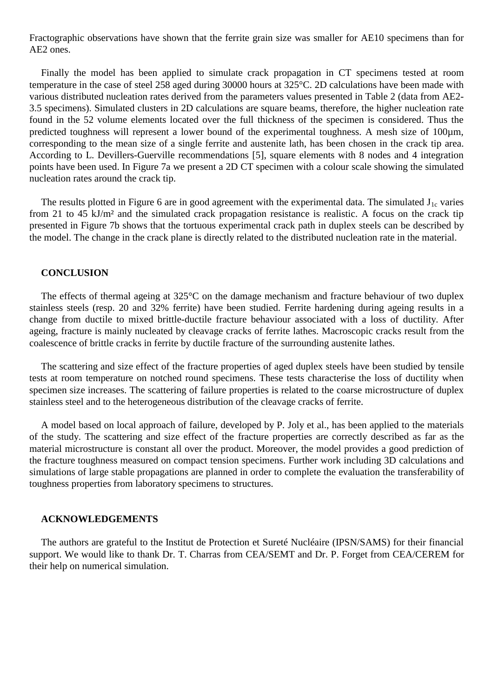Fractographic observations have shown that the ferrite grain size was smaller for AE10 specimens than for AE2 ones.

Finally the model has been applied to simulate crack propagation in CT specimens tested at room temperature in the case of steel 258 aged during 30000 hours at 325°C. 2D calculations have been made with various distributed nucleation rates derived from the parameters values presented in Table 2 (data from AE2- 3.5 specimens). Simulated clusters in 2D calculations are square beams, therefore, the higher nucleation rate found in the 52 volume elements located over the full thickness of the specimen is considered. Thus the predicted toughness will represent a lower bound of the experimental toughness. A mesh size of 100 $\mu$ m, corresponding to the mean size of a single ferrite and austenite lath, has been chosen in the crack tip area. According to L. Devillers-Guerville recommendations [5], square elements with 8 nodes and 4 integration points have been used. In Figure 7a we present a 2D CT specimen with a colour scale showing the simulated nucleation rates around the crack tip.

The results plotted in Figure 6 are in good agreement with the experimental data. The simulated  $J_{1c}$  varies from 21 to 45 kJ/m² and the simulated crack propagation resistance is realistic. A focus on the crack tip presented in Figure 7b shows that the tortuous experimental crack path in duplex steels can be described by the model. The change in the crack plane is directly related to the distributed nucleation rate in the material.

### **CONCLUSION**

The effects of thermal ageing at 325°C on the damage mechanism and fracture behaviour of two duplex stainless steels (resp. 20 and 32% ferrite) have been studied. Ferrite hardening during ageing results in a change from ductile to mixed brittle-ductile fracture behaviour associated with a loss of ductility. After ageing, fracture is mainly nucleated by cleavage cracks of ferrite lathes. Macroscopic cracks result from the coalescence of brittle cracks in ferrite by ductile fracture of the surrounding austenite lathes.

The scattering and size effect of the fracture properties of aged duplex steels have been studied by tensile tests at room temperature on notched round specimens. These tests characterise the loss of ductility when specimen size increases. The scattering of failure properties is related to the coarse microstructure of duplex stainless steel and to the heterogeneous distribution of the cleavage cracks of ferrite.

A model based on local approach of failure, developed by P. Joly et al., has been applied to the materials of the study. The scattering and size effect of the fracture properties are correctly described as far as the material microstructure is constant all over the product. Moreover, the model provides a good prediction of the fracture toughness measured on compact tension specimens. Further work including 3D calculations and simulations of large stable propagations are planned in order to complete the evaluation the transferability of toughness properties from laboratory specimens to structures.

#### **ACKNOWLEDGEMENTS**

The authors are grateful to the Institut de Protection et Sureté Nucléaire (IPSN/SAMS) for their financial support. We would like to thank Dr. T. Charras from CEA/SEMT and Dr. P. Forget from CEA/CEREM for their help on numerical simulation.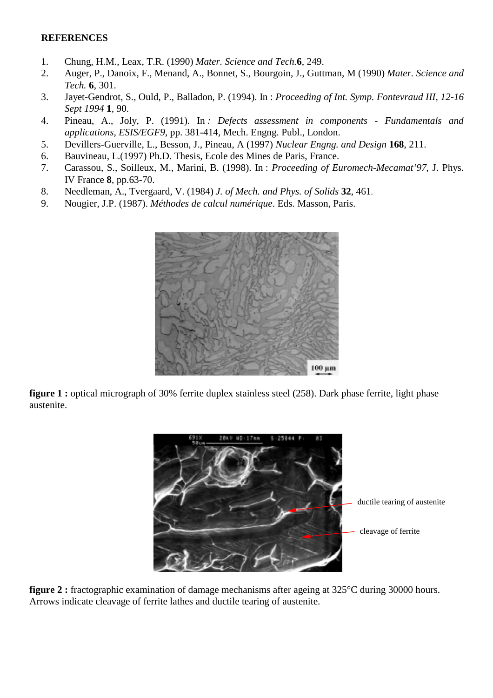# **REFERENCES**

- 1. Chung, H.M., Leax, T.R. (1990) *Mater. Science and Tech.***6**, 249.
- 2. Auger, P., Danoix, F., Menand, A., Bonnet, S., Bourgoin, J., Guttman, M (1990) *Mater. Science and Tech.* **6**, 301.
- 3. Jayet-Gendrot, S., Ould, P., Balladon, P. (1994). In : *Proceeding of Int. Symp. Fontevraud III, 12-16 Sept 1994* **1**, 90.
- 4. Pineau, A., Joly, P. (1991). In *: Defects assessment in components Fundamentals and applications, ESIS/EGF9*, pp. 381-414, Mech. Engng. Publ., London.
- 5. Devillers-Guerville, L., Besson, J., Pineau, A (1997) *Nuclear Engng. and Design* **168**, 211.
- 6. Bauvineau, L.(1997) Ph.D. Thesis, Ecole des Mines de Paris, France.
- 7. Carassou, S., Soilleux, M., Marini, B. (1998). In : *Proceeding of Euromech-Mecamat'97*, J. Phys. IV France **8**, pp.63-70.
- 8. Needleman, A., Tvergaard, V. (1984) *J. of Mech. and Phys. of Solids* **32**, 461.
- 9. Nougier, J.P. (1987). *Méthodes de calcul numérique*. Eds. Masson, Paris.



**figure 1 :** optical micrograph of 30% ferrite duplex stainless steel (258). Dark phase ferrite, light phase austenite.



**figure 2 :** fractographic examination of damage mechanisms after ageing at 325 °C during 30000 hours. Arrows indicate cleavage of ferrite lathes and ductile tearing of austenite.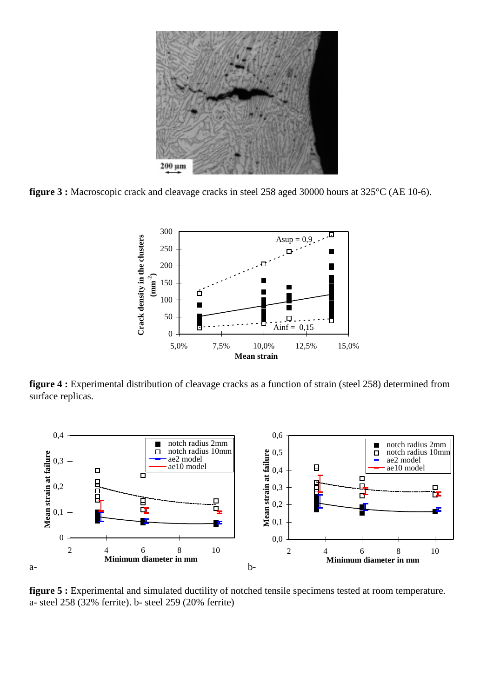

**figure 3 :** Macroscopic crack and cleavage cracks in steel 258 aged 30000 hours at 325°C (AE 10-6).



**figure 4 :** Experimental distribution of cleavage cracks as a function of strain (steel 258) determined from surface replicas.



**figure 5 :** Experimental and simulated ductility of notched tensile specimens tested at room temperature. a- steel 258 (32% ferrite). b- steel 259 (20% ferrite)